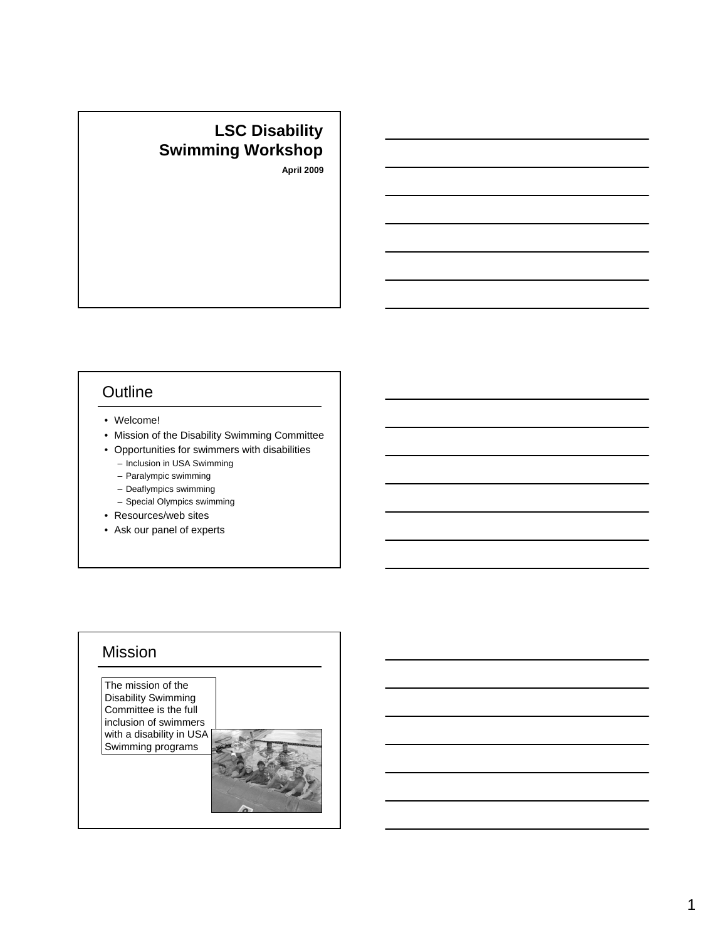# **LSC Disability Swimming Workshop**

**April 2009**

## **Outline**

- Welcome!
- Mission of the Disability Swimming Committee
- Opportunities for swimmers with disabilities – Inclusion in USA Swimming
	- Paralympic swimming
	- Deaflympics swimming
	- Special Olympics swimming
- Resources/web sites
- Ask our panel of experts

## Mission

The mission of the Disability Swimming Committee is the full inclusion of swimmers with a disability in USA Swimming programs

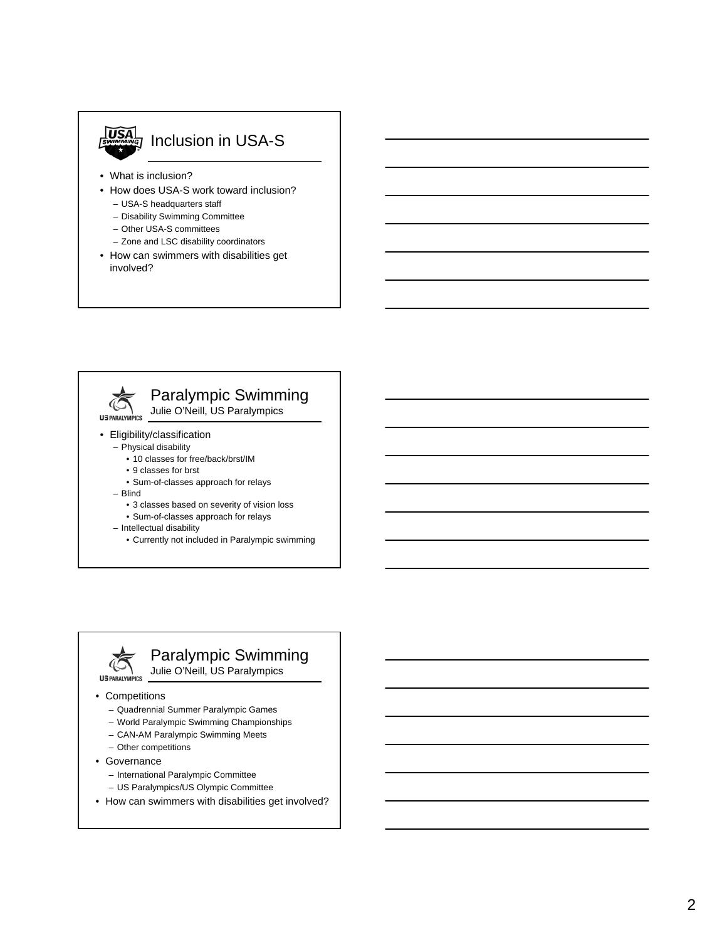

# **USA** Inclusion in USA-S

- What is inclusion?
- How does USA-S work toward inclusion?
	- USA-S headquarters staff
	- Disability Swimming Committee
	- Other USA-S committees
	- Zone and LSC disability coordinators
- How can swimmers with disabilities get involved?



- Eligibility/classification
	- Physical disability • 10 classes for free/back/brst/IM
		- 9 classes for brst
		-
		- Sum-of-classes approach for relays
	- Blind
		- 3 classes based on severity of vision loss
		- Sum-of-classes approach for relays
	- Intellectual disability
		- Currently not included in Paralympic swimming



## Paralympic Swimming

Julie O'Neill, US Paralympics

#### • Competitions

- Quadrennial Summer Paralympic Games
- World Paralympic Swimming Championships
- CAN-AM Paralympic Swimming Meets
- Other competitions
- Governance
	- International Paralympic Committee
	- US Paralympics/US Olympic Committee
- How can swimmers with disabilities get involved?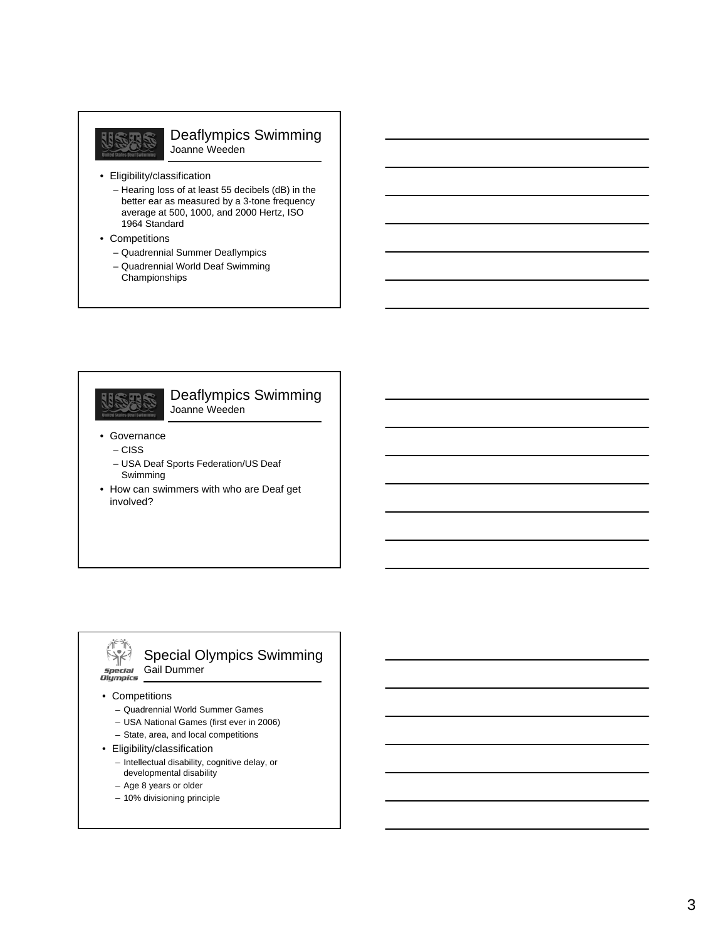# USAS

#### Deaflympics Swimming Joanne Weeden

- Eligibility/classification
	- Hearing loss of at least 55 decibels (dB) in the better ear as measured by a 3-tone frequency average at 500, 1000, and 2000 Hertz, ISO 1964 Standard
- Competitions
	- Quadrennial Summer Deaflympics
	- Quadrennial World Deaf Swimming Championships



#### Deaflympics Swimming Joanne Weeden

- Governance
	- CISS
	- USA Deaf Sports Federation/US Deaf Swimming
- How can swimmers with who are Deaf get involved?

#### 术市  $583$ special<br>Olympics

Gail Dummer

#### • Competitions

- Quadrennial World Summer Games
- USA National Games (first ever in 2006)

Special Olympics Swimming

- State, area, and local competitions
- Eligibility/classification
	- Intellectual disability, cognitive delay, or developmental disability
	- Age 8 years or older
	- 10% divisioning principle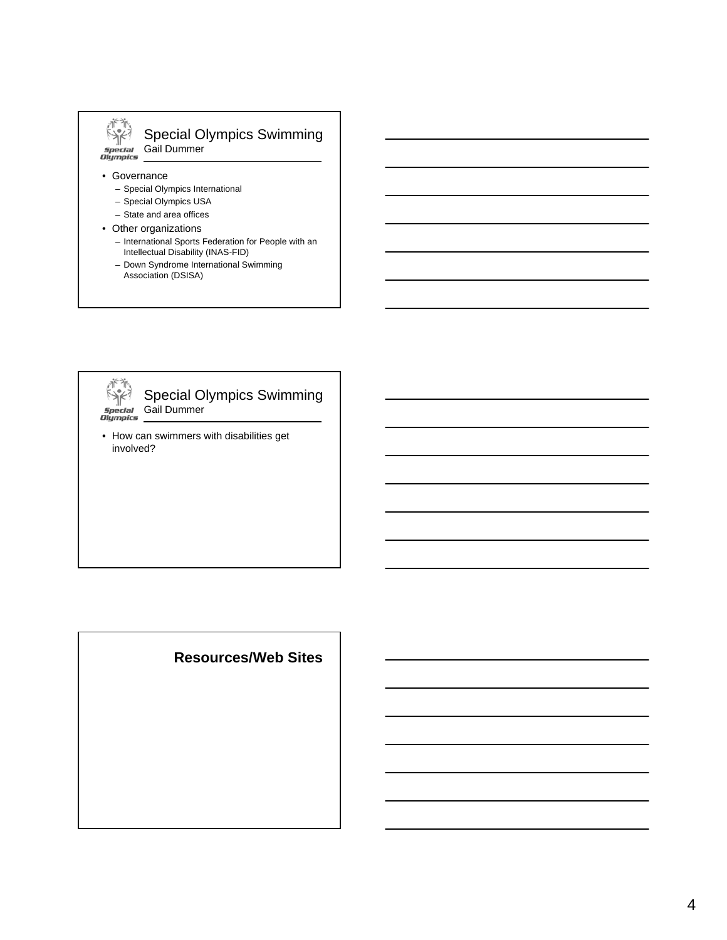## Special Olympics Swimming Gail Dummer<br>*Gail Dummer*<br>*Glympics*

• Governance

 $582$ 

- Special Olympics International
- Special Olympics USA
- State and area offices
- Other organizations
	- International Sports Federation for People with an Intellectual Disability (INAS-FID)
	- Down Syndrome International Swimming
		- Association (DSISA)



Special Olympics Swimming Gail Dummer

• How can swimmers with disabilities get involved?

## **Resources/Web Sites**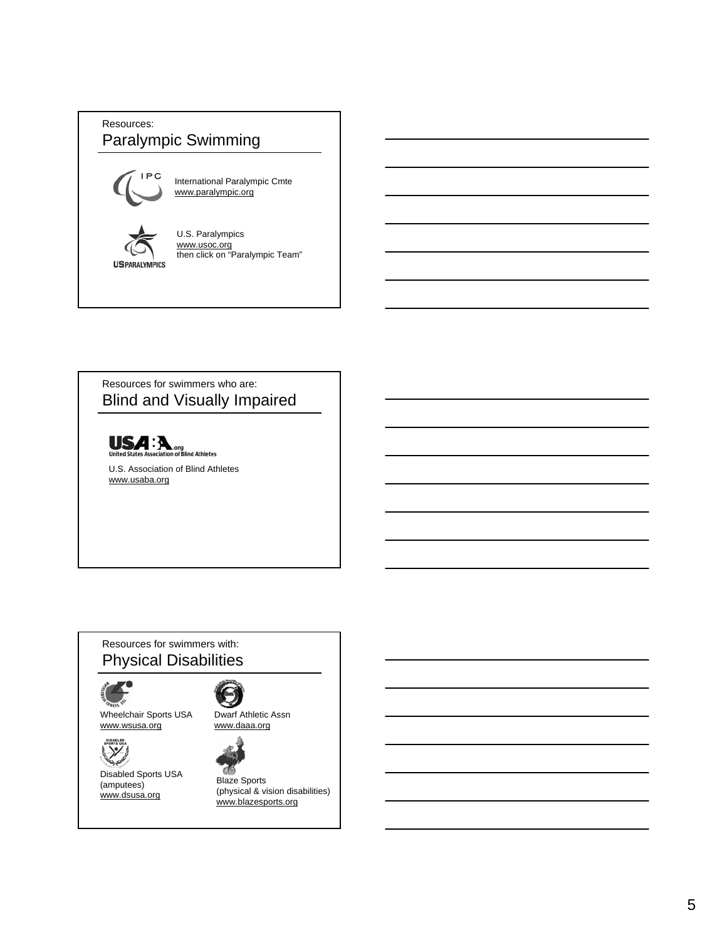## Resources: Paralympic Swimming



International Paralympic Cmte www.paralympic.org

**US PARALYMPICS** 

U.S. Paralympics www.usoc.org then click on "Paralympic Team"

### Resources for swimmers who are: Blind and Visually Impaired



U.S. Association of Blind Athletes www.usaba.org

### Resources for swimmers with: Physical Disabilities



Wheelchair Sports USA www.wsusa.org



Disabled Sports USA (amputees) www.dsusa.org







Blaze Sports (physical & vision disabilities) www.blazesports.org